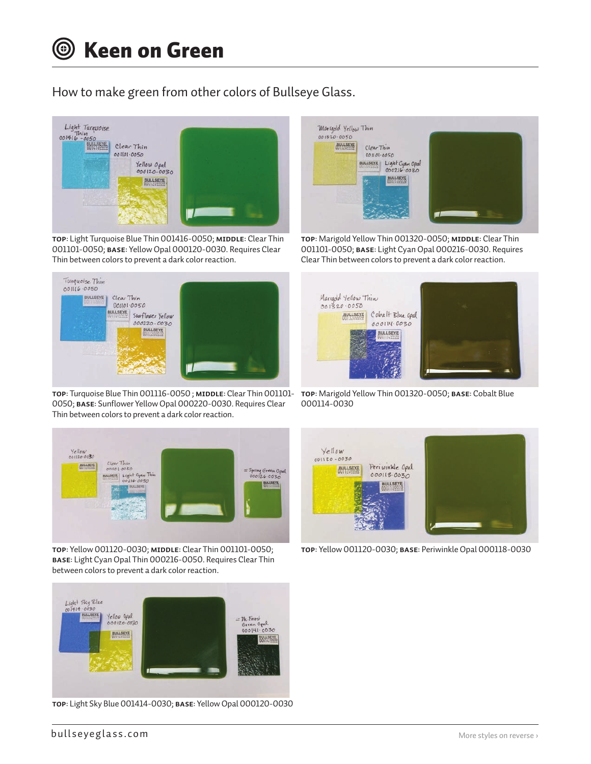How to make green from other colors of Bullseye Glass.



**TOP**: Light Turquoise Blue Thin 001416-0050; **MIDDLE**: Clear Thin 001101-0050; **BASE**: Yellow Opal 000120-0030. Requires Clear Thin between colors to prevent a dark color reaction.



**TOP**: Turquoise Blue Thin 001116-0050 ; **middle**: Clear Thin 001101- **TOP**: Marigold Yellow Thin 001320-0050; **base**: Cobalt Blue 0050; **base**: Sunflower Yellow Opal 000220-0030. Requires Clear Thin between colors to prevent a dark color reaction.



**TOP**: Yellow 001120-0030; **middle**: Clear Thin 001101-0050; **base**: Light Cyan Opal Thin 000216-0050. Requires Clear Thin between colors to prevent a dark color reaction.



**TOP**: Light Sky Blue 001414-0030; **base**: Yellow Opal 000120-0030



TOP: Marigold Yellow Thin 001320-0050; MIDDLE: Clear Thin 001101-0050; **base**: Light Cyan Opal 000216-0030. Requires Clear Thin between colors to prevent a dark color reaction.



000114-0030



**TOP**: Yellow 001120-0030; **base**: Periwinkle Opal 000118-0030